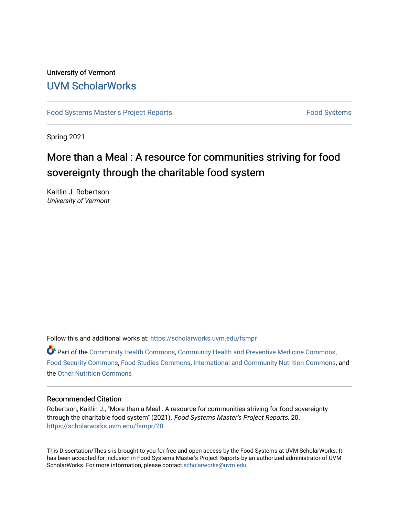# University of Vermont [UVM ScholarWorks](https://scholarworks.uvm.edu/)

[Food Systems Master's Project Reports](https://scholarworks.uvm.edu/fsmpr) [Food Systems](https://scholarworks.uvm.edu/foodsystems) Food Systems

Spring 2021

# More than a Meal : A resource for communities striving for food sovereignty through the charitable food system

Kaitlin J. Robertson University of Vermont

Follow this and additional works at: [https://scholarworks.uvm.edu/fsmpr](https://scholarworks.uvm.edu/fsmpr?utm_source=scholarworks.uvm.edu%2Ffsmpr%2F20&utm_medium=PDF&utm_campaign=PDFCoverPages)

 $\bullet$  Part of the [Community Health Commons,](http://network.bepress.com/hgg/discipline/714?utm_source=scholarworks.uvm.edu%2Ffsmpr%2F20&utm_medium=PDF&utm_campaign=PDFCoverPages) [Community Health and Preventive Medicine Commons](http://network.bepress.com/hgg/discipline/744?utm_source=scholarworks.uvm.edu%2Ffsmpr%2F20&utm_medium=PDF&utm_campaign=PDFCoverPages), [Food Security Commons](http://network.bepress.com/hgg/discipline/1332?utm_source=scholarworks.uvm.edu%2Ffsmpr%2F20&utm_medium=PDF&utm_campaign=PDFCoverPages), [Food Studies Commons,](http://network.bepress.com/hgg/discipline/1386?utm_source=scholarworks.uvm.edu%2Ffsmpr%2F20&utm_medium=PDF&utm_campaign=PDFCoverPages) [International and Community Nutrition Commons](http://network.bepress.com/hgg/discipline/98?utm_source=scholarworks.uvm.edu%2Ffsmpr%2F20&utm_medium=PDF&utm_campaign=PDFCoverPages), and the [Other Nutrition Commons](http://network.bepress.com/hgg/discipline/101?utm_source=scholarworks.uvm.edu%2Ffsmpr%2F20&utm_medium=PDF&utm_campaign=PDFCoverPages) 

## Recommended Citation

Robertson, Kaitlin J., "More than a Meal : A resource for communities striving for food sovereignty through the charitable food system" (2021). Food Systems Master's Project Reports. 20. [https://scholarworks.uvm.edu/fsmpr/20](https://scholarworks.uvm.edu/fsmpr/20?utm_source=scholarworks.uvm.edu%2Ffsmpr%2F20&utm_medium=PDF&utm_campaign=PDFCoverPages) 

This Dissertation/Thesis is brought to you for free and open access by the Food Systems at UVM ScholarWorks. It has been accepted for inclusion in Food Systems Master's Project Reports by an authorized administrator of UVM ScholarWorks. For more information, please contact [scholarworks@uvm.edu](mailto:scholarworks@uvm.edu).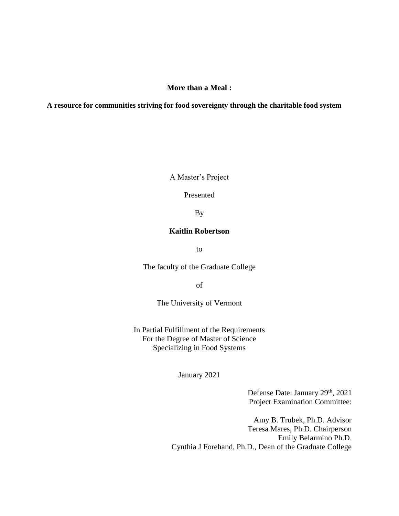**More than a Meal :**

**A resource for communities striving for food sovereignty through the charitable food system**

A Master's Project

Presented

By

## **Kaitlin Robertson**

to

The faculty of the Graduate College

of

The University of Vermont

In Partial Fulfillment of the Requirements For the Degree of Master of Science Specializing in Food Systems

January 2021

Defense Date: January 29<sup>th</sup>, 2021 Project Examination Committee:

Amy B. Trubek, Ph.D. Advisor Teresa Mares, Ph.D. Chairperson Emily Belarmino Ph.D. Cynthia J Forehand, Ph.D., Dean of the Graduate College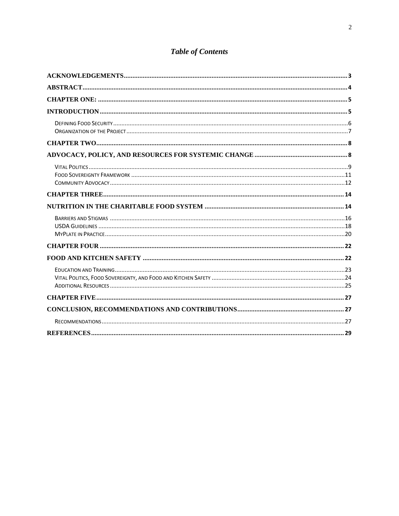# **Table of Contents**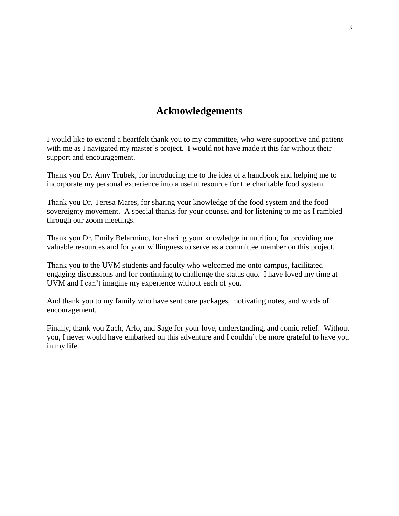# **Acknowledgements**

<span id="page-3-0"></span>I would like to extend a heartfelt thank you to my committee, who were supportive and patient with me as I navigated my master's project. I would not have made it this far without their support and encouragement.

Thank you Dr. Amy Trubek, for introducing me to the idea of a handbook and helping me to incorporate my personal experience into a useful resource for the charitable food system.

Thank you Dr. Teresa Mares, for sharing your knowledge of the food system and the food sovereignty movement. A special thanks for your counsel and for listening to me as I rambled through our zoom meetings.

Thank you Dr. Emily Belarmino, for sharing your knowledge in nutrition, for providing me valuable resources and for your willingness to serve as a committee member on this project.

Thank you to the UVM students and faculty who welcomed me onto campus, facilitated engaging discussions and for continuing to challenge the status quo. I have loved my time at UVM and I can't imagine my experience without each of you.

And thank you to my family who have sent care packages, motivating notes, and words of encouragement.

Finally, thank you Zach, Arlo, and Sage for your love, understanding, and comic relief. Without you, I never would have embarked on this adventure and I couldn't be more grateful to have you in my life.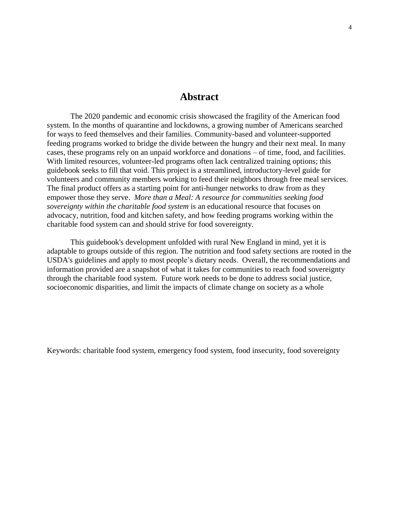# **Abstract**

<span id="page-4-0"></span>The 2020 pandemic and economic crisis showcased the fragility of the American food system. In the months of quarantine and lockdowns, a growing number of Americans searched for ways to feed themselves and their families. Community-based and volunteer-supported feeding programs worked to bridge the divide between the hungry and their next meal. In many cases, these programs rely on an unpaid workforce and donations – of time, food, and facilities. With limited resources, volunteer-led programs often lack centralized training options; this guidebook seeks to fill that void. This project is a streamlined, introductory-level guide for volunteers and community members working to feed their neighbors through free meal services. The final product offers as a starting point for anti-hunger networks to draw from as they empower those they serve. *More than a Meal: A resource for communities seeking food sovereignty within the charitable food system* is an educational resource that focuses on advocacy, nutrition, food and kitchen safety, and how feeding programs working within the charitable food system can and should strive for food sovereignty.

This guidebook's development unfolded with rural New England in mind, yet it is adaptable to groups outside of this region. The nutrition and food safety sections are rooted in the USDA's guidelines and apply to most people's dietary needs. Overall, the recommendations and information provided are a snapshot of what it takes for communities to reach food sovereignty through the charitable food system. Future work needs to be done to address social justice, . socioeconomic disparities, and limit the impacts of climate change on society as a whole

Keywords: charitable food system, emergency food system, food insecurity, food sovereignty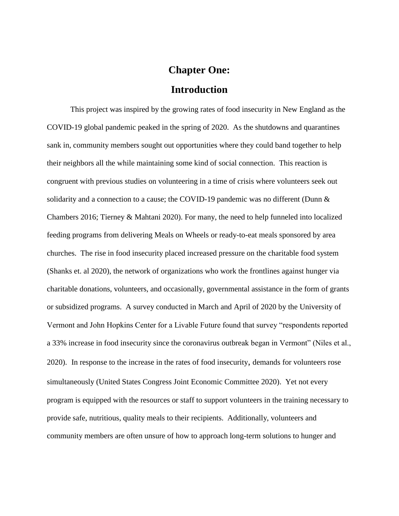# **Chapter One:**

## **Introduction**

<span id="page-5-1"></span><span id="page-5-0"></span>This project was inspired by the growing rates of food insecurity in New England as the COVID-19 global pandemic peaked in the spring of 2020. As the shutdowns and quarantines sank in, community members sought out opportunities where they could band together to help their neighbors all the while maintaining some kind of social connection. This reaction is congruent with previous studies on volunteering in a time of crisis where volunteers seek out solidarity and a connection to a cause; the COVID-19 pandemic was no different (Dunn  $\&$ Chambers 2016; Tierney & Mahtani 2020). For many, the need to help funneled into localized feeding programs from delivering Meals on Wheels or ready-to-eat meals sponsored by area churches. The rise in food insecurity placed increased pressure on the charitable food system (Shanks et. al 2020), the network of organizations who work the frontlines against hunger via charitable donations, volunteers, and occasionally, governmental assistance in the form of grants or subsidized programs. A survey conducted in March and April of 2020 by the University of Vermont and John Hopkins Center for a Livable Future found that survey "respondents reported a 33% increase in food insecurity since the coronavirus outbreak began in Vermont" (Niles et al., 2020). In response to the increase in the rates of food insecurity, demands for volunteers rose simultaneously (United States Congress Joint Economic Committee 2020). Yet not every program is equipped with the resources or staff to support volunteers in the training necessary to provide safe, nutritious, quality meals to their recipients. Additionally, volunteers and community members are often unsure of how to approach long-term solutions to hunger and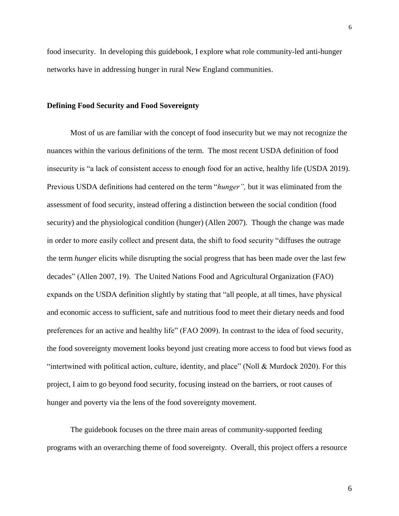food insecurity. In developing this guidebook, I explore what role community-led anti-hunger networks have in addressing hunger in rural New England communities.

### <span id="page-6-0"></span>**Defining Food Security and Food Sovereignty**

Most of us are familiar with the concept of food insecurity but we may not recognize the nuances within the various definitions of the term. The most recent USDA definition of food insecurity is "a lack of consistent access to enough food for an active, healthy life (USDA 2019). Previous USDA definitions had centered on the term "*hunger",* but it was eliminated from the assessment of food security, instead offering a distinction between the social condition (food security) and the physiological condition (hunger) (Allen 2007). Though the change was made in order to more easily collect and present data, the shift to food security "diffuses the outrage the term *hunger* elicits while disrupting the social progress that has been made over the last few decades" (Allen 2007, 19). The United Nations Food and Agricultural Organization (FAO) expands on the USDA definition slightly by stating that "all people, at all times, have physical and economic access to sufficient, safe and nutritious food to meet their dietary needs and food preferences for an active and healthy life" (FAO 2009). In contrast to the idea of food security, the food sovereignty movement looks beyond just creating more access to food but views food as "intertwined with political action, culture, identity, and place" (Noll & Murdock 2020). For this project, I aim to go beyond food security, focusing instead on the barriers, or root causes of hunger and poverty via the lens of the food sovereignty movement.

The guidebook focuses on the three main areas of community-supported feeding programs with an overarching theme of food sovereignty. Overall, this project offers a resource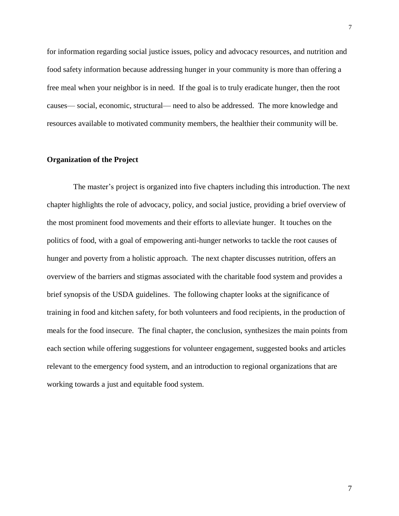for information regarding social justice issues, policy and advocacy resources, and nutrition and food safety information because addressing hunger in your community is more than offering a free meal when your neighbor is in need. If the goal is to truly eradicate hunger, then the root causes— social, economic, structural— need to also be addressed. The more knowledge and resources available to motivated community members, the healthier their community will be.

## <span id="page-7-0"></span>**Organization of the Project**

The master's project is organized into five chapters including this introduction. The next chapter highlights the role of advocacy, policy, and social justice, providing a brief overview of the most prominent food movements and their efforts to alleviate hunger. It touches on the politics of food, with a goal of empowering anti-hunger networks to tackle the root causes of hunger and poverty from a holistic approach. The next chapter discusses nutrition, offers an overview of the barriers and stigmas associated with the charitable food system and provides a brief synopsis of the USDA guidelines. The following chapter looks at the significance of training in food and kitchen safety, for both volunteers and food recipients, in the production of meals for the food insecure. The final chapter, the conclusion, synthesizes the main points from each section while offering suggestions for volunteer engagement, suggested books and articles relevant to the emergency food system, and an introduction to regional organizations that are working towards a just and equitable food system.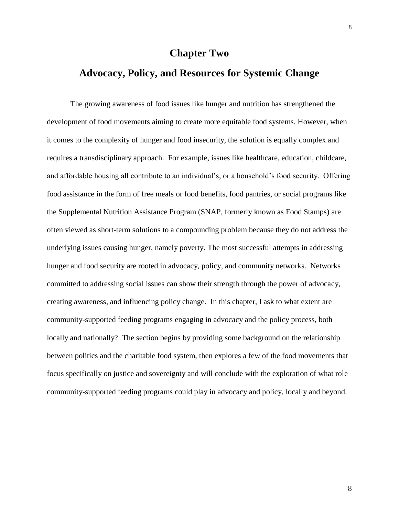# **Chapter Two**

# <span id="page-8-1"></span><span id="page-8-0"></span>**Advocacy, Policy, and Resources for Systemic Change**

The growing awareness of food issues like hunger and nutrition has strengthened the development of food movements aiming to create more equitable food systems. However, when it comes to the complexity of hunger and food insecurity, the solution is equally complex and requires a transdisciplinary approach. For example, issues like healthcare, education, childcare, and affordable housing all contribute to an individual's, or a household's food security. Offering food assistance in the form of free meals or food benefits, food pantries, or social programs like the Supplemental Nutrition Assistance Program (SNAP, formerly known as Food Stamps) are often viewed as short-term solutions to a compounding problem because they do not address the underlying issues causing hunger, namely poverty. The most successful attempts in addressing hunger and food security are rooted in advocacy, policy, and community networks. Networks committed to addressing social issues can show their strength through the power of advocacy, creating awareness, and influencing policy change. In this chapter, I ask to what extent are community-supported feeding programs engaging in advocacy and the policy process, both locally and nationally? The section begins by providing some background on the relationship between politics and the charitable food system, then explores a few of the food movements that focus specifically on justice and sovereignty and will conclude with the exploration of what role community-supported feeding programs could play in advocacy and policy, locally and beyond.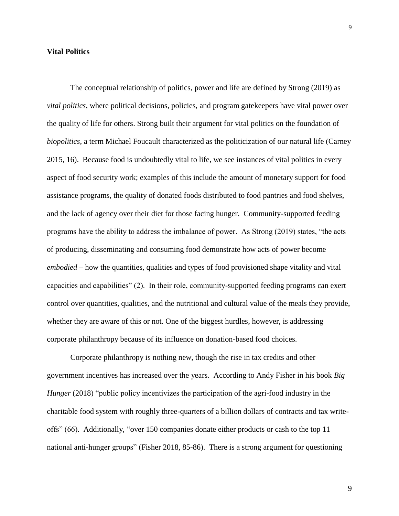## <span id="page-9-0"></span>**Vital Politics**

The conceptual relationship of politics, power and life are defined by Strong (2019) as *vital politics*, where political decisions, policies, and program gatekeepers have vital power over the quality of life for others. Strong built their argument for vital politics on the foundation of *biopolitics,* a term Michael Foucault characterized as the politicization of our natural life (Carney 2015, 16). Because food is undoubtedly vital to life, we see instances of vital politics in every aspect of food security work; examples of this include the amount of monetary support for food assistance programs, the quality of donated foods distributed to food pantries and food shelves, and the lack of agency over their diet for those facing hunger. Community-supported feeding programs have the ability to address the imbalance of power. As Strong (2019) states, "the acts of producing, disseminating and consuming food demonstrate how acts of power become *embodied* – how the quantities, qualities and types of food provisioned shape vitality and vital capacities and capabilities" (2). In their role, community-supported feeding programs can exert control over quantities, qualities, and the nutritional and cultural value of the meals they provide, whether they are aware of this or not. One of the biggest hurdles, however, is addressing corporate philanthropy because of its influence on donation-based food choices.

Corporate philanthropy is nothing new, though the rise in tax credits and other government incentives has increased over the years. According to Andy Fisher in his book *Big Hunger* (2018) "public policy incentivizes the participation of the agri-food industry in the charitable food system with roughly three-quarters of a billion dollars of contracts and tax writeoffs" (66). Additionally, "over 150 companies donate either products or cash to the top 11 national anti-hunger groups" (Fisher 2018, 85-86). There is a strong argument for questioning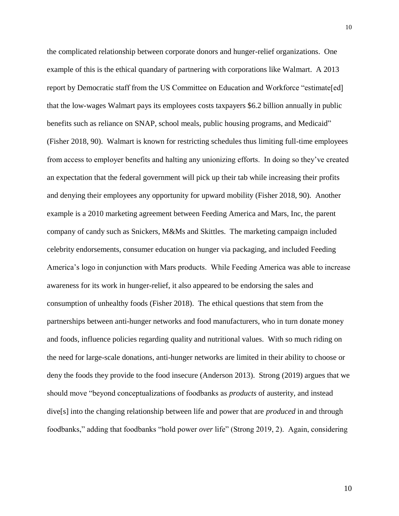the complicated relationship between corporate donors and hunger-relief organizations. One example of this is the ethical quandary of partnering with corporations like Walmart. A 2013 report by Democratic staff from the US Committee on Education and Workforce "estimate[ed] that the low-wages Walmart pays its employees costs taxpayers \$6.2 billion annually in public benefits such as reliance on SNAP, school meals, public housing programs, and Medicaid" (Fisher 2018, 90). Walmart is known for restricting schedules thus limiting full-time employees from access to employer benefits and halting any unionizing efforts. In doing so they've created an expectation that the federal government will pick up their tab while increasing their profits and denying their employees any opportunity for upward mobility (Fisher 2018, 90). Another example is a 2010 marketing agreement between Feeding America and Mars, Inc, the parent company of candy such as Snickers, M&Ms and Skittles. The marketing campaign included celebrity endorsements, consumer education on hunger via packaging, and included Feeding America's logo in conjunction with Mars products. While Feeding America was able to increase awareness for its work in hunger-relief, it also appeared to be endorsing the sales and consumption of unhealthy foods (Fisher 2018). The ethical questions that stem from the partnerships between anti-hunger networks and food manufacturers, who in turn donate money and foods, influence policies regarding quality and nutritional values. With so much riding on the need for large-scale donations, anti-hunger networks are limited in their ability to choose or deny the foods they provide to the food insecure (Anderson 2013). Strong (2019) argues that we should move "beyond conceptualizations of foodbanks as *products* of austerity, and instead dive[s] into the changing relationship between life and power that are *produced* in and through foodbanks," adding that foodbanks "hold power *over* life" (Strong 2019, 2). Again, considering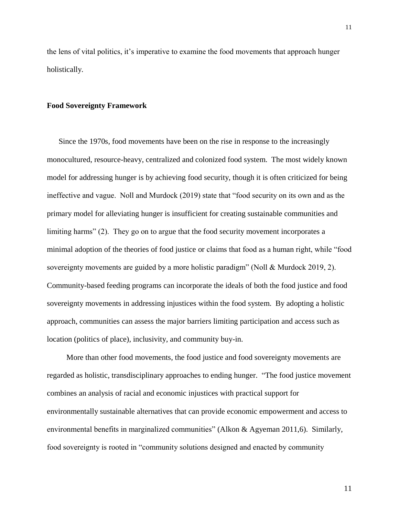the lens of vital politics, it's imperative to examine the food movements that approach hunger holistically.

### <span id="page-11-0"></span>**Food Sovereignty Framework**

Since the 1970s, food movements have been on the rise in response to the increasingly monocultured, resource-heavy, centralized and colonized food system. The most widely known model for addressing hunger is by achieving food security, though it is often criticized for being ineffective and vague. Noll and Murdock (2019) state that "food security on its own and as the primary model for alleviating hunger is insufficient for creating sustainable communities and limiting harms" (2). They go on to argue that the food security movement incorporates a minimal adoption of the theories of food justice or claims that food as a human right, while "food sovereignty movements are guided by a more holistic paradigm" (Noll & Murdock 2019, 2). Community-based feeding programs can incorporate the ideals of both the food justice and food sovereignty movements in addressing injustices within the food system. By adopting a holistic approach, communities can assess the major barriers limiting participation and access such as location (politics of place), inclusivity, and community buy-in.

 More than other food movements, the food justice and food sovereignty movements are regarded as holistic, transdisciplinary approaches to ending hunger. "The food justice movement combines an analysis of racial and economic injustices with practical support for environmentally sustainable alternatives that can provide economic empowerment and access to environmental benefits in marginalized communities" (Alkon & Agyeman 2011,6). Similarly, food sovereignty is rooted in "community solutions designed and enacted by community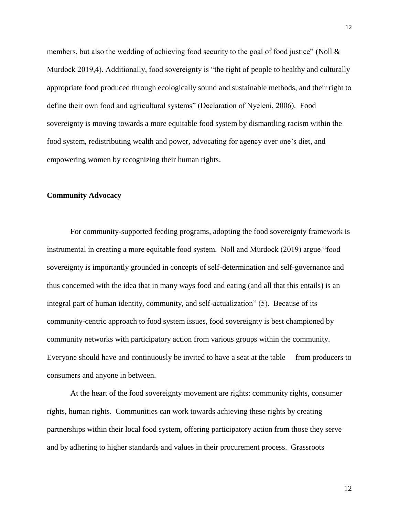members, but also the wedding of achieving food security to the goal of food justice" (Noll  $\&$ Murdock 2019,4). Additionally, food sovereignty is "the right of people to healthy and culturally appropriate food produced through ecologically sound and sustainable methods, and their right to define their own food and agricultural systems" (Declaration of Nyeleni, 2006). Food sovereignty is moving towards a more equitable food system by dismantling racism within the food system, redistributing wealth and power, advocating for agency over one's diet, and empowering women by recognizing their human rights.

## <span id="page-12-0"></span>**Community Advocacy**

For community-supported feeding programs, adopting the food sovereignty framework is instrumental in creating a more equitable food system. Noll and Murdock (2019) argue "food sovereignty is importantly grounded in concepts of self-determination and self-governance and thus concerned with the idea that in many ways food and eating (and all that this entails) is an integral part of human identity, community, and self-actualization" (5). Because of its community-centric approach to food system issues, food sovereignty is best championed by community networks with participatory action from various groups within the community. Everyone should have and continuously be invited to have a seat at the table— from producers to consumers and anyone in between.

At the heart of the food sovereignty movement are rights: community rights, consumer rights, human rights. Communities can work towards achieving these rights by creating partnerships within their local food system, offering participatory action from those they serve and by adhering to higher standards and values in their procurement process. Grassroots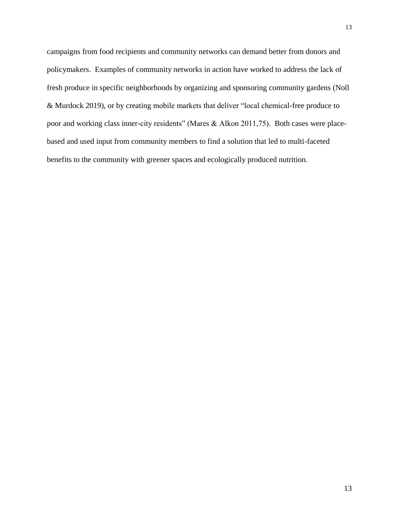campaigns from food recipients and community networks can demand better from donors and policymakers. Examples of community networks in action have worked to address the lack of fresh produce in specific neighborhoods by organizing and sponsoring community gardens (Noll & Murdock 2019), or by creating mobile markets that deliver "local chemical-free produce to poor and working class inner-city residents" (Mares & Alkon 2011,75). Both cases were placebased and used input from community members to find a solution that led to multi-faceted benefits to the community with greener spaces and ecologically produced nutrition.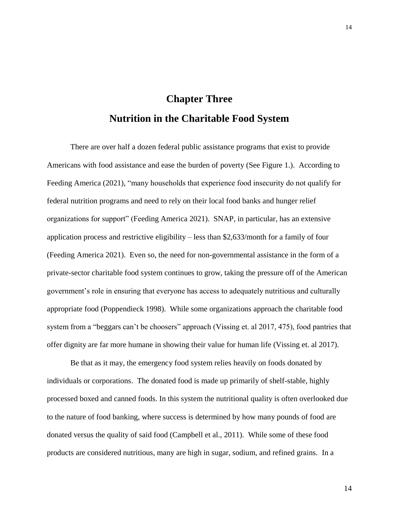# **Chapter Three Nutrition in the Charitable Food System**

<span id="page-14-1"></span><span id="page-14-0"></span>There are over half a dozen federal public assistance programs that exist to provide Americans with food assistance and ease the burden of poverty (See Figure 1.). According to Feeding America (2021), "many households that experience food insecurity do not qualify for federal nutrition programs and need to rely on their local food banks and hunger relief organizations for support" (Feeding America 2021). SNAP, in particular, has an extensive application process and restrictive eligibility – less than \$2,633/month for a family of four (Feeding America 2021). Even so, the need for non-governmental assistance in the form of a private-sector charitable food system continues to grow, taking the pressure off of the American government's role in ensuring that everyone has access to adequately nutritious and culturally appropriate food (Poppendieck 1998). While some organizations approach the charitable food system from a "beggars can't be choosers" approach (Vissing et. al 2017, 475), food pantries that offer dignity are far more humane in showing their value for human life (Vissing et. al 2017).

Be that as it may, the emergency food system relies heavily on foods donated by individuals or corporations. The donated food is made up primarily of shelf-stable, highly processed boxed and canned foods. In this system the nutritional quality is often overlooked due to the nature of food banking, where success is determined by how many pounds of food are donated versus the quality of said food (Campbell et al., 2011). While some of these food products are considered nutritious, many are high in sugar, sodium, and refined grains. In a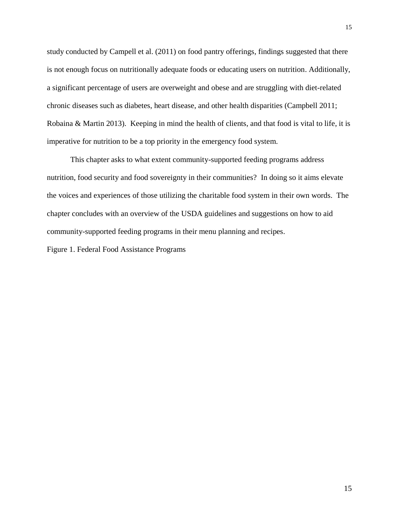study conducted by Campell et al. (2011) on food pantry offerings, findings suggested that there is not enough focus on nutritionally adequate foods or educating users on nutrition. Additionally, a significant percentage of users are overweight and obese and are struggling with diet-related chronic diseases such as diabetes, heart disease, and other health disparities (Campbell 2011; Robaina & Martin 2013). Keeping in mind the health of clients, and that food is vital to life, it is imperative for nutrition to be a top priority in the emergency food system.

This chapter asks to what extent community-supported feeding programs address nutrition, food security and food sovereignty in their communities? In doing so it aims elevate the voices and experiences of those utilizing the charitable food system in their own words. The chapter concludes with an overview of the USDA guidelines and suggestions on how to aid community-supported feeding programs in their menu planning and recipes.

Figure 1. Federal Food Assistance Programs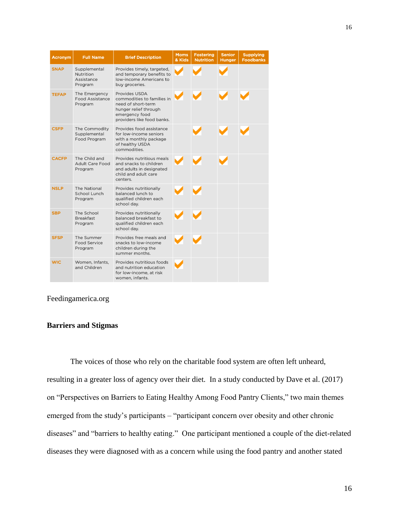| <b>Acronym</b> | <b>Full Name</b>                                   | <b>Brief Description</b>                                                                                                                   | <b>Moms</b><br>& Kids | <b>Fostering</b><br><b>Nutrition</b> | <b>Senior</b><br><b>Hunger</b> | <b>Supplying</b><br><b>Foodbanks</b> |
|----------------|----------------------------------------------------|--------------------------------------------------------------------------------------------------------------------------------------------|-----------------------|--------------------------------------|--------------------------------|--------------------------------------|
| <b>SNAP</b>    | Supplemental<br>Nutrition<br>Assistance<br>Program | Provides timely, targeted,<br>and temporary benefits to<br>low-income Americans to<br>buy groceries.                                       |                       |                                      |                                |                                      |
| <b>TEFAP</b>   | The Emergency<br><b>Food Assistance</b><br>Program | Provides USDA<br>commodities to families in<br>need of short-term<br>hunger relief through<br>emergency food<br>providers like food banks. |                       |                                      |                                |                                      |
| <b>CSFP</b>    | The Commodity<br>Supplemental<br>Food Program      | Provides food assistance<br>for low-income seniors<br>with a monthly package<br>of healthy USDA<br>commodities.                            |                       |                                      |                                |                                      |
| <b>CACFP</b>   | The Child and<br><b>Adult Care Food</b><br>Program | Provides nutritious meals<br>and snacks to children<br>and adults in designated<br>child and adult care<br>centers.                        |                       |                                      |                                |                                      |
| <b>NSLP</b>    | The National<br>School Lunch<br>Program            | Provides nutritionally<br>balanced lunch to<br>qualified children each<br>school day.                                                      |                       |                                      |                                |                                      |
| <b>SBP</b>     | The School<br><b>Breakfast</b><br>Program          | Provides nutritionally<br>balanced breakfast to<br>qualified children each<br>school day.                                                  |                       |                                      |                                |                                      |
| <b>SFSP</b>    | The Summer<br>Food Service<br>Program              | Provides free meals and<br>snacks to low-income<br>children during the<br>summer months.                                                   |                       |                                      |                                |                                      |
| <b>WIC</b>     | Women, Infants,<br>and Children                    | Provides nutritious foods<br>and nutrition education<br>for low-income, at risk<br>women, infants.                                         |                       |                                      |                                |                                      |

## Feedingamerica.org

## <span id="page-16-0"></span>**Barriers and Stigmas**

The voices of those who rely on the charitable food system are often left unheard, resulting in a greater loss of agency over their diet. In a study conducted by Dave et al. (2017) on "Perspectives on Barriers to Eating Healthy Among Food Pantry Clients," two main themes emerged from the study's participants – "participant concern over obesity and other chronic diseases" and "barriers to healthy eating." One participant mentioned a couple of the diet-related diseases they were diagnosed with as a concern while using the food pantry and another stated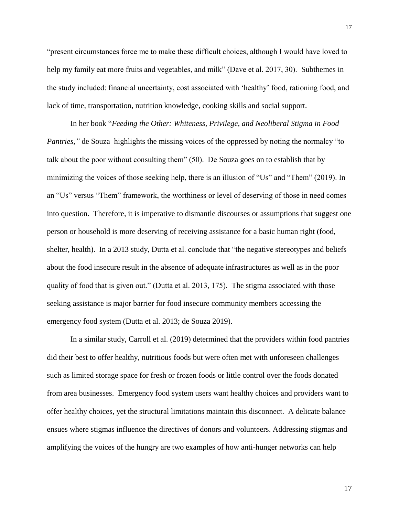"present circumstances force me to make these difficult choices, although I would have loved to help my family eat more fruits and vegetables, and milk" (Dave et al. 2017, 30). Subthemes in the study included: financial uncertainty, cost associated with 'healthy' food, rationing food, and lack of time, transportation, nutrition knowledge, cooking skills and social support.

In her book "*Feeding the Other: Whiteness, Privilege, and Neoliberal Stigma in Food Pantries,"* de Souza highlights the missing voices of the oppressed by noting the normalcy "to talk about the poor without consulting them" (50). De Souza goes on to establish that by minimizing the voices of those seeking help, there is an illusion of "Us" and "Them" (2019). In an "Us" versus "Them" framework, the worthiness or level of deserving of those in need comes into question. Therefore, it is imperative to dismantle discourses or assumptions that suggest one person or household is more deserving of receiving assistance for a basic human right (food, shelter, health). In a 2013 study, Dutta et al. conclude that "the negative stereotypes and beliefs about the food insecure result in the absence of adequate infrastructures as well as in the poor quality of food that is given out." (Dutta et al. 2013, 175). The stigma associated with those seeking assistance is major barrier for food insecure community members accessing the emergency food system (Dutta et al. 2013; de Souza 2019).

In a similar study, Carroll et al. (2019) determined that the providers within food pantries did their best to offer healthy, nutritious foods but were often met with unforeseen challenges such as limited storage space for fresh or frozen foods or little control over the foods donated from area businesses. Emergency food system users want healthy choices and providers want to offer healthy choices, yet the structural limitations maintain this disconnect. A delicate balance ensues where stigmas influence the directives of donors and volunteers. Addressing stigmas and amplifying the voices of the hungry are two examples of how anti-hunger networks can help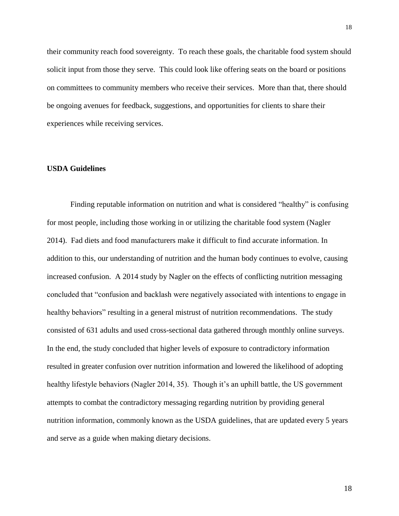their community reach food sovereignty. To reach these goals, the charitable food system should solicit input from those they serve. This could look like offering seats on the board or positions on committees to community members who receive their services. More than that, there should be ongoing avenues for feedback, suggestions, and opportunities for clients to share their experiences while receiving services.

## <span id="page-18-0"></span>**USDA Guidelines**

Finding reputable information on nutrition and what is considered "healthy" is confusing for most people, including those working in or utilizing the charitable food system (Nagler 2014). Fad diets and food manufacturers make it difficult to find accurate information. In addition to this, our understanding of nutrition and the human body continues to evolve, causing increased confusion. A 2014 study by Nagler on the effects of conflicting nutrition messaging concluded that "confusion and backlash were negatively associated with intentions to engage in healthy behaviors" resulting in a general mistrust of nutrition recommendations. The study consisted of 631 adults and used cross-sectional data gathered through monthly online surveys. In the end, the study concluded that higher levels of exposure to contradictory information resulted in greater confusion over nutrition information and lowered the likelihood of adopting healthy lifestyle behaviors (Nagler 2014, 35). Though it's an uphill battle, the US government attempts to combat the contradictory messaging regarding nutrition by providing general nutrition information, commonly known as the USDA guidelines, that are updated every 5 years and serve as a guide when making dietary decisions.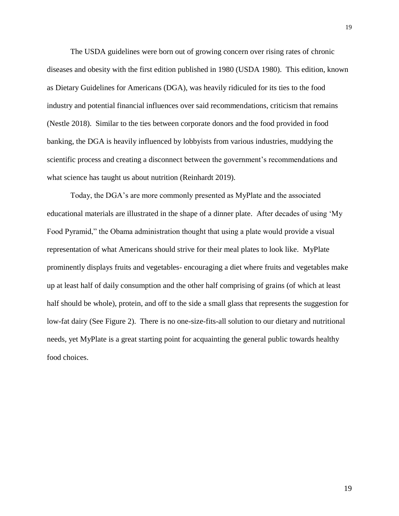The USDA guidelines were born out of growing concern over rising rates of chronic diseases and obesity with the first edition published in 1980 (USDA 1980). This edition, known as Dietary Guidelines for Americans (DGA), was heavily ridiculed for its ties to the food industry and potential financial influences over said recommendations, criticism that remains (Nestle 2018). Similar to the ties between corporate donors and the food provided in food banking, the DGA is heavily influenced by lobbyists from various industries, muddying the scientific process and creating a disconnect between the government's recommendations and what science has taught us about nutrition (Reinhardt 2019).

Today, the DGA's are more commonly presented as MyPlate and the associated educational materials are illustrated in the shape of a dinner plate. After decades of using 'My Food Pyramid," the Obama administration thought that using a plate would provide a visual representation of what Americans should strive for their meal plates to look like. MyPlate prominently displays fruits and vegetables- encouraging a diet where fruits and vegetables make up at least half of daily consumption and the other half comprising of grains (of which at least half should be whole), protein, and off to the side a small glass that represents the suggestion for low-fat dairy (See Figure 2). There is no one-size-fits-all solution to our dietary and nutritional needs, yet MyPlate is a great starting point for acquainting the general public towards healthy food choices.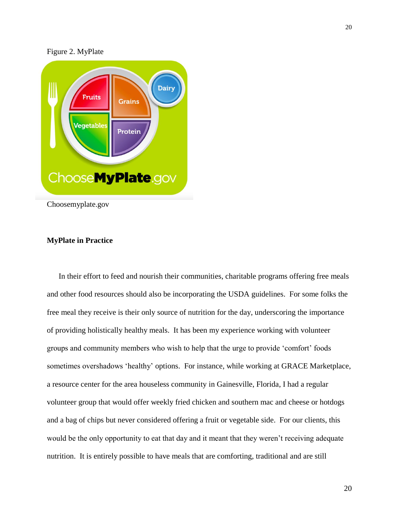



Choosemyplate.gov

## <span id="page-20-0"></span>**MyPlate in Practice**

In their effort to feed and nourish their communities, charitable programs offering free meals and other food resources should also be incorporating the USDA guidelines. For some folks the free meal they receive is their only source of nutrition for the day, underscoring the importance of providing holistically healthy meals. It has been my experience working with volunteer groups and community members who wish to help that the urge to provide 'comfort' foods sometimes overshadows 'healthy' options. For instance, while working at GRACE Marketplace, a resource center for the area houseless community in Gainesville, Florida, I had a regular volunteer group that would offer weekly fried chicken and southern mac and cheese or hotdogs and a bag of chips but never considered offering a fruit or vegetable side. For our clients, this would be the only opportunity to eat that day and it meant that they weren't receiving adequate nutrition. It is entirely possible to have meals that are comforting, traditional and are still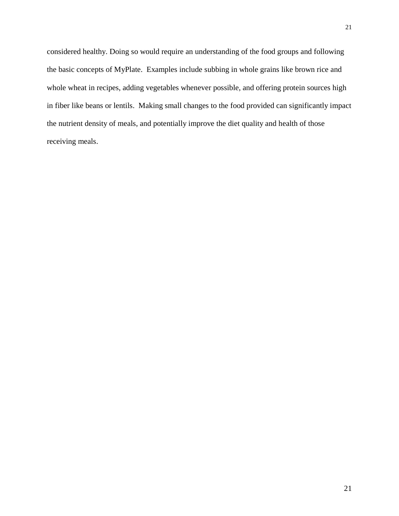considered healthy. Doing so would require an understanding of the food groups and following the basic concepts of MyPlate. Examples include subbing in whole grains like brown rice and whole wheat in recipes, adding vegetables whenever possible, and offering protein sources high in fiber like beans or lentils. Making small changes to the food provided can significantly impact the nutrient density of meals, and potentially improve the diet quality and health of those receiving meals.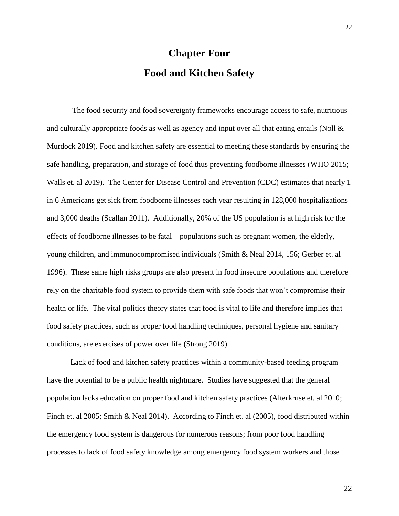# **Chapter Four Food and Kitchen Safety**

<span id="page-22-1"></span><span id="page-22-0"></span>The food security and food sovereignty frameworks encourage access to safe, nutritious and culturally appropriate foods as well as agency and input over all that eating entails (Noll & Murdock 2019). Food and kitchen safety are essential to meeting these standards by ensuring the safe handling, preparation, and storage of food thus preventing foodborne illnesses (WHO 2015; Walls et. al 2019). The Center for Disease Control and Prevention (CDC) estimates that nearly 1 in 6 Americans get sick from foodborne illnesses each year resulting in 128,000 hospitalizations and 3,000 deaths (Scallan 2011). Additionally, 20% of the US population is at high risk for the effects of foodborne illnesses to be fatal – populations such as pregnant women, the elderly, young children, and immunocompromised individuals (Smith & Neal 2014, 156; Gerber et. al 1996). These same high risks groups are also present in food insecure populations and therefore rely on the charitable food system to provide them with safe foods that won't compromise their health or life. The vital politics theory states that food is vital to life and therefore implies that food safety practices, such as proper food handling techniques, personal hygiene and sanitary conditions, are exercises of power over life (Strong 2019).

Lack of food and kitchen safety practices within a community-based feeding program have the potential to be a public health nightmare. Studies have suggested that the general population lacks education on proper food and kitchen safety practices (Alterkruse et. al 2010; Finch et. al 2005; Smith & Neal 2014). According to Finch et. al (2005), food distributed within the emergency food system is dangerous for numerous reasons; from poor food handling processes to lack of food safety knowledge among emergency food system workers and those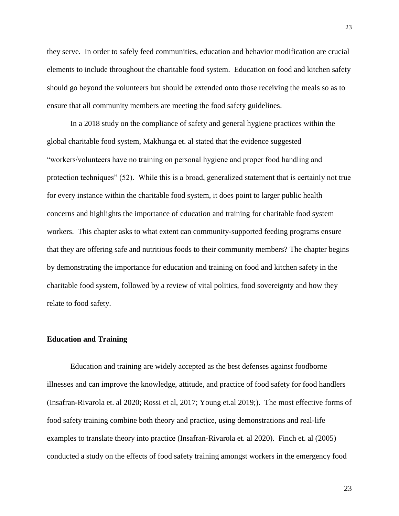they serve. In order to safely feed communities, education and behavior modification are crucial elements to include throughout the charitable food system. Education on food and kitchen safety should go beyond the volunteers but should be extended onto those receiving the meals so as to ensure that all community members are meeting the food safety guidelines.

In a 2018 study on the compliance of safety and general hygiene practices within the global charitable food system, Makhunga et. al stated that the evidence suggested "workers/volunteers have no training on personal hygiene and proper food handling and protection techniques" (52). While this is a broad, generalized statement that is certainly not true for every instance within the charitable food system, it does point to larger public health concerns and highlights the importance of education and training for charitable food system workers. This chapter asks to what extent can community-supported feeding programs ensure that they are offering safe and nutritious foods to their community members? The chapter begins by demonstrating the importance for education and training on food and kitchen safety in the charitable food system, followed by a review of vital politics, food sovereignty and how they relate to food safety.

## <span id="page-23-0"></span>**Education and Training**

Education and training are widely accepted as the best defenses against foodborne illnesses and can improve the knowledge, attitude, and practice of food safety for food handlers (Insafran-Rivarola et. al 2020; Rossi et al, 2017; Young et.al 2019;). The most effective forms of food safety training combine both theory and practice, using demonstrations and real-life examples to translate theory into practice (Insafran-Rivarola et. al 2020). Finch et. al (2005) conducted a study on the effects of food safety training amongst workers in the emergency food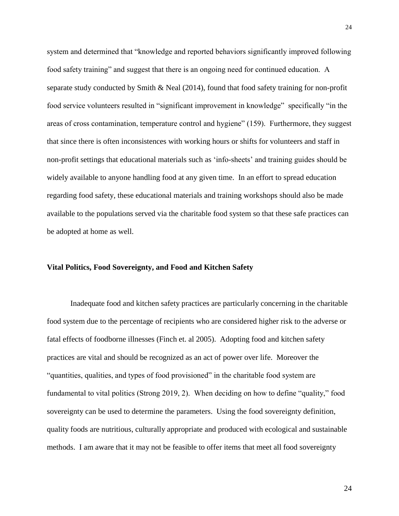system and determined that "knowledge and reported behaviors significantly improved following food safety training" and suggest that there is an ongoing need for continued education. A separate study conducted by Smith & Neal (2014), found that food safety training for non-profit food service volunteers resulted in "significant improvement in knowledge" specifically "in the areas of cross contamination, temperature control and hygiene" (159). Furthermore, they suggest that since there is often inconsistences with working hours or shifts for volunteers and staff in non-profit settings that educational materials such as 'info-sheets' and training guides should be widely available to anyone handling food at any given time. In an effort to spread education regarding food safety, these educational materials and training workshops should also be made available to the populations served via the charitable food system so that these safe practices can be adopted at home as well.

### <span id="page-24-0"></span>**Vital Politics, Food Sovereignty, and Food and Kitchen Safety**

Inadequate food and kitchen safety practices are particularly concerning in the charitable food system due to the percentage of recipients who are considered higher risk to the adverse or fatal effects of foodborne illnesses (Finch et. al 2005). Adopting food and kitchen safety practices are vital and should be recognized as an act of power over life. Moreover the "quantities, qualities, and types of food provisioned" in the charitable food system are fundamental to vital politics (Strong 2019, 2). When deciding on how to define "quality," food sovereignty can be used to determine the parameters. Using the food sovereignty definition, quality foods are nutritious, culturally appropriate and produced with ecological and sustainable methods. I am aware that it may not be feasible to offer items that meet all food sovereignty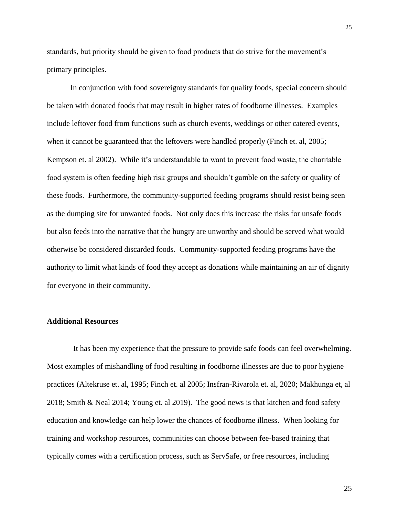standards, but priority should be given to food products that do strive for the movement's primary principles.

In conjunction with food sovereignty standards for quality foods, special concern should be taken with donated foods that may result in higher rates of foodborne illnesses. Examples include leftover food from functions such as church events, weddings or other catered events, when it cannot be guaranteed that the leftovers were handled properly (Finch et. al, 2005; Kempson et. al 2002). While it's understandable to want to prevent food waste, the charitable food system is often feeding high risk groups and shouldn't gamble on the safety or quality of these foods. Furthermore, the community-supported feeding programs should resist being seen as the dumping site for unwanted foods. Not only does this increase the risks for unsafe foods but also feeds into the narrative that the hungry are unworthy and should be served what would otherwise be considered discarded foods. Community-supported feeding programs have the authority to limit what kinds of food they accept as donations while maintaining an air of dignity for everyone in their community.

#### <span id="page-25-0"></span>**Additional Resources**

It has been my experience that the pressure to provide safe foods can feel overwhelming. Most examples of mishandling of food resulting in foodborne illnesses are due to poor hygiene practices (Altekruse et. al, 1995; Finch et. al 2005; Insfran-Rivarola et. al, 2020; Makhunga et, al 2018; Smith & Neal 2014; Young et. al 2019). The good news is that kitchen and food safety education and knowledge can help lower the chances of foodborne illness. When looking for training and workshop resources, communities can choose between fee-based training that typically comes with a certification process, such as ServSafe, or free resources, including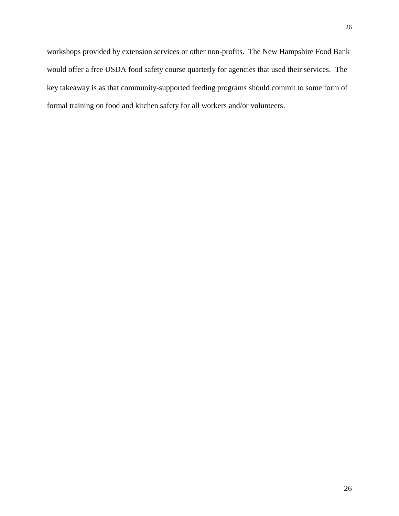workshops provided by extension services or other non-profits. The New Hampshire Food Bank would offer a free USDA food safety course quarterly for agencies that used their services. The key takeaway is as that community-supported feeding programs should commit to some form of formal training on food and kitchen safety for all workers and/or volunteers.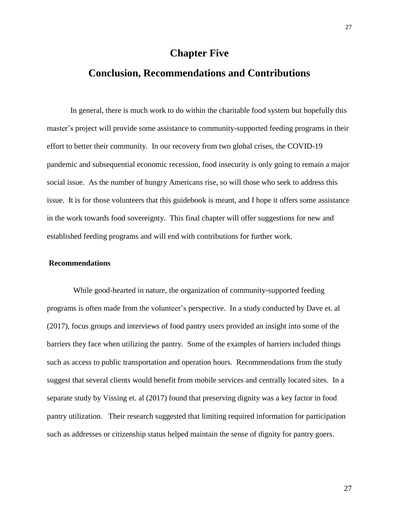# **Chapter Five**

# <span id="page-27-1"></span><span id="page-27-0"></span>**Conclusion, Recommendations and Contributions**

In general, there is much work to do within the charitable food system but hopefully this master's project will provide some assistance to community-supported feeding programs in their effort to better their community. In our recovery from two global crises, the COVID-19 pandemic and subsequential economic recession, food insecurity is only going to remain a major social issue. As the number of hungry Americans rise, so will those who seek to address this issue. It is for those volunteers that this guidebook is meant, and I hope it offers some assistance in the work towards food sovereignty. This final chapter will offer suggestions for new and established feeding programs and will end with contributions for further work.

### <span id="page-27-2"></span>**Recommendations**

While good-hearted in nature, the organization of community-supported feeding programs is often made from the volunteer's perspective. In a study conducted by Dave et. al (2017), focus groups and interviews of food pantry users provided an insight into some of the barriers they face when utilizing the pantry. Some of the examples of barriers included things such as access to public transportation and operation hours. Recommendations from the study suggest that several clients would benefit from mobile services and centrally located sites. In a separate study by Vissing et. al (2017) found that preserving dignity was a key factor in food pantry utilization. Their research suggested that limiting required information for participation such as addresses or citizenship status helped maintain the sense of dignity for pantry goers.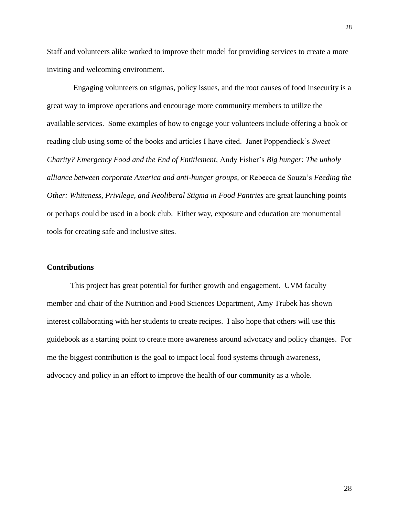Staff and volunteers alike worked to improve their model for providing services to create a more inviting and welcoming environment.

Engaging volunteers on stigmas, policy issues, and the root causes of food insecurity is a great way to improve operations and encourage more community members to utilize the available services. Some examples of how to engage your volunteers include offering a book or reading club using some of the books and articles I have cited. Janet Poppendieck's *Sweet Charity? Emergency Food and the End of Entitlement,* Andy Fisher's *Big hunger: The unholy alliance between corporate America and anti-hunger groups,* or Rebecca de Souza's *Feeding the Other: Whiteness, Privilege, and Neoliberal Stigma in Food Pantries are great launching points* or perhaps could be used in a book club. Either way, exposure and education are monumental tools for creating safe and inclusive sites.

### **Contributions**

This project has great potential for further growth and engagement. UVM faculty member and chair of the Nutrition and Food Sciences Department, Amy Trubek has shown interest collaborating with her students to create recipes. I also hope that others will use this guidebook as a starting point to create more awareness around advocacy and policy changes. For me the biggest contribution is the goal to impact local food systems through awareness, advocacy and policy in an effort to improve the health of our community as a whole.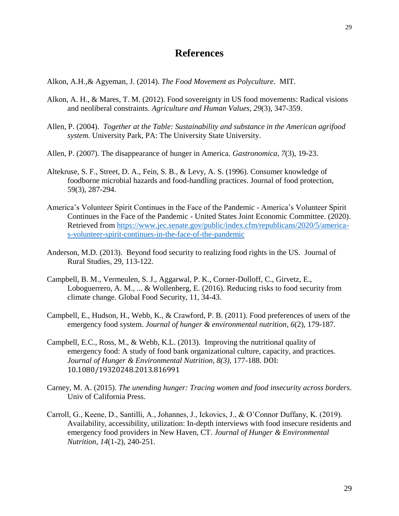# **References**

<span id="page-29-0"></span>Alkon, A.H.,& Agyeman, J. (2014). *The Food Movement as Polyculture*. MIT.

- Alkon, A. H., & Mares, T. M. (2012). Food sovereignty in US food movements: Radical visions and neoliberal constraints. *Agriculture and Human Values*, *29*(3), 347-359.
- Allen, P. (2004). *Together at the Table: Sustainability and substance in the American agrifood system.* University Park, PA: The University State University.
- Allen, P. (2007). The disappearance of hunger in America. *Gastronomica*, *7*(3), 19-23.
- Altekruse, S. F., Street, D. A., Fein, S. B., & Levy, A. S. (1996). Consumer knowledge of foodborne microbial hazards and food-handling practices. Journal of food protection, 59(3), 287-294.
- America's Volunteer Spirit Continues in the Face of the Pandemic America's Volunteer Spirit Continues in the Face of the Pandemic - United States Joint Economic Committee. (2020). Retrieved from [https://www.jec.senate.gov/public/index.cfm/republicans/2020/5/america](https://www.jec.senate.gov/public/index.cfm/republicans/2020/5/america-s-volunteer-spirit-continues-in-the-face-of-the-pandemic)[s-volunteer-spirit-continues-in-the-face-of-the-pandemic](https://www.jec.senate.gov/public/index.cfm/republicans/2020/5/america-s-volunteer-spirit-continues-in-the-face-of-the-pandemic)
- Anderson, M.D. (2013). Beyond food security to realizing food rights in the US. Journal of Rural Studies, 29, 113-122.
- Campbell, B. M., Vermeulen, S. J., Aggarwal, P. K., Corner-Dolloff, C., Girvetz, E., Loboguerrero, A. M., ... & Wollenberg, E. (2016). Reducing risks to food security from climate change. Global Food Security, 11, 34-43.
- Campbell, E., Hudson, H., Webb, K., & Crawford, P. B. (2011). Food preferences of users of the emergency food system. *Journal of hunger & environmental nutrition*, *6*(2), 179-187.
- Campbell, E.C., Ross, M., & Webb, K.L. (2013). Improving the nutritional quality of emergency food: A study of food bank organizational culture, capacity, and practices. *Journal of Hunger & Environmental Nutrition, 8(3),* 177-188. DOI: 10.1080/19320248.2013.816991
- Carney, M. A. (2015). *The unending hunger: Tracing women and food insecurity across borders*. Univ of California Press.
- Carroll, G., Keene, D., Santilli, A., Johannes, J., Ickovics, J., & O'Connor Duffany, K. (2019). Availability, accessibility, utilization: In-depth interviews with food insecure residents and emergency food providers in New Haven, CT. *Journal of Hunger & Environmental Nutrition*, *14*(1-2), 240-251.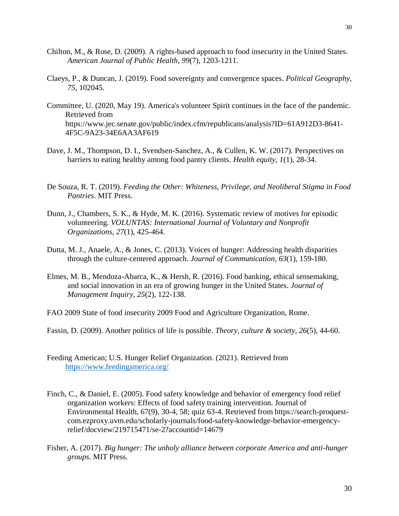- Chilton, M., & Rose, D. (2009). A rights-based approach to food insecurity in the United States. *American Journal of Public Health*, *99*(7), 1203-1211.
- Claeys, P., & Duncan, J. (2019). Food sovereignty and convergence spaces. *Political Geography*, *75*, 102045.
- Committee, U. (2020, May 19). America's volunteer Spirit continues in the face of the pandemic. Retrieved from https://www.jec.senate.gov/public/index.cfm/republicans/analysis?ID=61A912D3-8641- 4F5C-9A23-34E6AA3AF619
- Dave, J. M., Thompson, D. I., Svendsen-Sanchez, A., & Cullen, K. W. (2017). Perspectives on barriers to eating healthy among food pantry clients. *Health equity*, *1*(1), 28-34.
- De Souza, R. T. (2019). *Feeding the Other: Whiteness, Privilege, and Neoliberal Stigma in Food Pantries*. MIT Press.
- Dunn, J., Chambers, S. K., & Hyde, M. K. (2016). Systematic review of motives for episodic volunteering. *VOLUNTAS: International Journal of Voluntary and Nonprofit Organizations*, *27*(1), 425-464.
- Dutta, M. J., Anaele, A., & Jones, C. (2013). Voices of hunger: Addressing health disparities through the culture-centered approach. *Journal of Communication*, *63*(1), 159-180.
- Elmes, M. B., Mendoza-Abarca, K., & Hersh, R. (2016). Food banking, ethical sensemaking, and social innovation in an era of growing hunger in the United States. *Journal of Management Inquiry*, *25*(2), 122-138.
- FAO 2009 State of food insecurity 2009 Food and Agriculture Organization, Rome.
- Fassin, D. (2009). Another politics of life is possible. *Theory, culture & society*, *26*(5), 44-60.
- Feeding American; U.S. Hunger Relief Organization. (2021). Retrieved from <https://www.feedingamerica.org/>
- Finch, C., & Daniel, E. (2005). Food safety knowledge and behavior of emergency food relief organization workers: Effects of food safety training intervention. Journal of Environmental Health, 67(9), 30-4, 58; quiz 63-4. Retrieved from https://search-proquestcom.ezproxy.uvm.edu/scholarly-journals/food-safety-knowledge-behavior-emergencyrelief/docview/219715471/se-2?accountid=14679
- Fisher, A. (2017). *Big hunger: The unholy alliance between corporate America and anti-hunger groups*. MIT Press.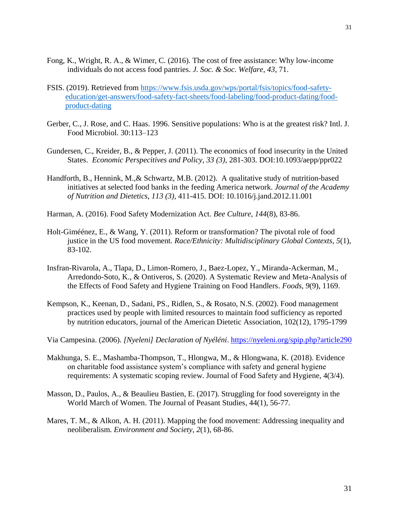- Fong, K., Wright, R. A., & Wimer, C. (2016). The cost of free assistance: Why low-income individuals do not access food pantries. *J. Soc. & Soc. Welfare*, *43*, 71.
- FSIS. (2019). Retrieved from [https://www.fsis.usda.gov/wps/portal/fsis/topics/food-safety](https://www.fsis.usda.gov/wps/portal/fsis/topics/food-safety-education/get-answers/food-safety-fact-sheets/food-labeling/food-product-dating/food-product-dating)[education/get-answers/food-safety-fact-sheets/food-labeling/food-product-dating/food](https://www.fsis.usda.gov/wps/portal/fsis/topics/food-safety-education/get-answers/food-safety-fact-sheets/food-labeling/food-product-dating/food-product-dating)[product-dating](https://www.fsis.usda.gov/wps/portal/fsis/topics/food-safety-education/get-answers/food-safety-fact-sheets/food-labeling/food-product-dating/food-product-dating)
- Gerber, C., J. Rose, and C. Haas. 1996. Sensitive populations: Who is at the greatest risk? Intl. J. Food Microbiol. 30:113–123
- Gundersen, C., Kreider, B., & Pepper, J. (2011). The economics of food insecurity in the United States. *Economic Perspecitives and Policy, 33 (3),* 281-303. DOI:10.1093/aepp/ppr022
- Handforth, B., Hennink, M.,& Schwartz, M.B. (2012). A qualitative study of nutrition-based initiatives at selected food banks in the feeding America network. *Journal of the Academy of Nutrition and Dietetics, 113 (3),* 411-415. DOI: 10.1016/j.jand.2012.11.001
- Harman, A. (2016). Food Safety Modernization Act. *Bee Culture, 144*(8), 83-86.
- Holt-Giméénez, E., & Wang, Y. (2011). Reform or transformation? The pivotal role of food justice in the US food movement. *Race/Ethnicity: Multidisciplinary Global Contexts*, *5*(1), 83-102.
- Insfran-Rivarola, A., Tlapa, D., Limon-Romero, J., Baez-Lopez, Y., Miranda-Ackerman, M., Arredondo-Soto, K., & Ontiveros, S. (2020). A Systematic Review and Meta-Analysis of the Effects of Food Safety and Hygiene Training on Food Handlers. *Foods*, *9*(9), 1169.
- Kempson, K., Keenan, D., Sadani, PS., Ridlen, S., & Rosato, N.S. (2002). Food management practices used by people with limited resources to maintain food sufficiency as reported by nutrition educators, journal of the American Dietetic Association, 102(12), 1795-1799
- Via Campesina. (2006). *[Nyeleni] Declaration of Nyéléni*.<https://nyeleni.org/spip.php?article290>
- Makhunga, S. E., Mashamba-Thompson, T., Hlongwa, M., & Hlongwana, K. (2018). Evidence on charitable food assistance system's compliance with safety and general hygiene requirements: A systematic scoping review. Journal of Food Safety and Hygiene, 4(3/4).
- Masson, D., Paulos, A., & Beaulieu Bastien, E. (2017). Struggling for food sovereignty in the World March of Women. The Journal of Peasant Studies, 44(1), 56-77.
- Mares, T. M., & Alkon, A. H. (2011). Mapping the food movement: Addressing inequality and neoliberalism. *Environment and Society*, *2*(1), 68-86.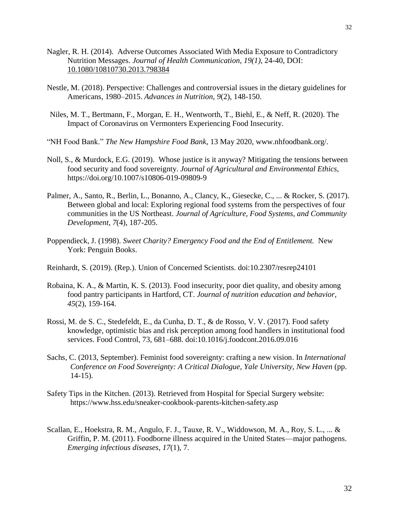- Nagler, R. H. (2014). Adverse Outcomes Associated With Media Exposure to Contradictory Nutrition Messages*. Journal of Health Communication, 19(1),* 24-40, DOI: [10.1080/10810730.2013.798384](https://doi.org/10.1080/10810730.2013.798384)
- Nestle, M. (2018). Perspective: Challenges and controversial issues in the dietary guidelines for Americans, 1980–2015. *Advances in Nutrition*, *9*(2), 148-150.
- Niles, M. T., Bertmann, F., Morgan, E. H., Wentworth, T., Biehl, E., & Neff, R. (2020). The Impact of Coronavirus on Vermonters Experiencing Food Insecurity.
- "NH Food Bank." *The New Hampshire Food Bank*, 13 May 2020, www.nhfoodbank.org/.
- Noll, S., & Murdock, E.G. (2019). Whose justice is it anyway? Mitigating the tensions between food security and food sovereignty. *Journal of Agricultural and Environmental Ethics,*  https://doi.org/10.1007/s10806-019-09809-9
- Palmer, A., Santo, R., Berlin, L., Bonanno, A., Clancy, K., Giesecke, C., ... & Rocker, S. (2017). Between global and local: Exploring regional food systems from the perspectives of four communities in the US Northeast. *Journal of Agriculture, Food Systems, and Community Development*, *7*(4), 187-205.
- Poppendieck, J. (1998). *Sweet Charity? Emergency Food and the End of Entitlement.* New York: Penguin Books.
- Reinhardt, S. (2019). (Rep.). Union of Concerned Scientists. doi:10.2307/resrep24101
- Robaina, K. A., & Martin, K. S. (2013). Food insecurity, poor diet quality, and obesity among food pantry participants in Hartford, CT. *Journal of nutrition education and behavior*, *45*(2), 159-164.
- Rossi, M. de S. C., Stedefeldt, E., da Cunha, D. T., & de Rosso, V. V. (2017). Food safety knowledge, optimistic bias and risk perception among food handlers in institutional food services. Food Control, 73, 681–688. doi:10.1016/j.foodcont.2016.09.016
- Sachs, C. (2013, September). Feminist food sovereignty: crafting a new vision. In *International Conference on Food Sovereignty: A Critical Dialogue, Yale University, New Haven* (pp. 14-15).
- Safety Tips in the Kitchen. (2013). Retrieved from Hospital for Special Surgery website: https://www.hss.edu/sneaker-cookbook-parents-kitchen-safety.asp
- Scallan, E., Hoekstra, R. M., Angulo, F. J., Tauxe, R. V., Widdowson, M. A., Roy, S. L., ... & Griffin, P. M. (2011). Foodborne illness acquired in the United States—major pathogens. *Emerging infectious diseases*, *17*(1), 7.